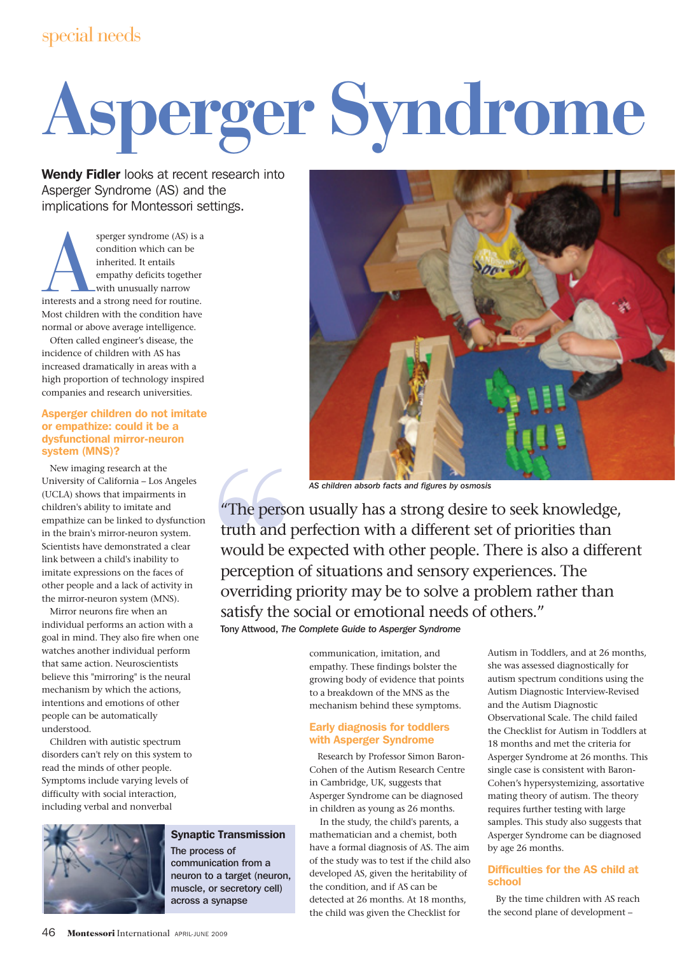# special needs

# **Asperger Syndrome**

Wendy Fidler looks at recent research into Asperger Syndrome (AS) and the implications for Montessori settings.

sperger syndrome (AS) is a<br>condition which can be<br>inherited. It entails<br>empathy deficits together<br>with unusually narrow<br>interests and a strong need for routine. condition which can be inherited. It entails empathy deficits together with unusually narrow Most children with the condition have normal or above average intelligence.

Often called engineer's disease, the incidence of children with AS has increased dramatically in areas with a high proportion of technology inspired companies and research universities.

## Asperger children do not imitate or empathize: could it be a dysfunctional mirror-neuron system (MNS)?

New imaging research at the University of California – Los Angeles (UCLA) shows that impairments in children's ability to imitate and empathize can be linked to dysfunction in the brain's mirror-neuron system. Scientists have demonstrated a clear link between a child's inability to imitate expressions on the faces of other people and a lack of activity in the mirror-neuron system (MNS).

Mirror neurons fire when an individual performs an action with a goal in mind. They also fire when one watches another individual perform that same action. Neuroscientists believe this "mirroring" is the neural mechanism by which the actions, intentions and emotions of other people can be automatically understood.

Children with autistic spectrum disorders can't rely on this system to read the minds of other people. Symptoms include varying levels of difficulty with social interaction, including verbal and nonverbal



# Synaptic Transmission

The process of communication from a neuron to a target (neuron, muscle, or secretory cell) across a synapse



*AS children absorb facts and figures by osmosis*<br>
"The person usually has a strong desire to seek knowledge,<br>
truth and perfection with a different set of priorities than<br>
would be expected with other people. There is als truth and perfection with a different set of priorities than would be expected with other people. There is also a different perception of situations and sensory experiences. The overriding priority may be to solve a problem rather than satisfy the social or emotional needs of others."

Tony Attwood, *The Complete Guide to Asperger Syndrome*

communication, imitation, and empathy. These findings bolster the growing body of evidence that points to a breakdown of the MNS as the mechanism behind these symptoms.

## Early diagnosis for toddlers with Asperger Syndrome

Research by Professor Simon Baron-Cohen of the Autism Research Centre in Cambridge, UK, suggests that Asperger Syndrome can be diagnosed in children as young as 26 months.

In the study, the child's parents, a mathematician and a chemist, both have a formal diagnosis of AS. The aim of the study was to test if the child also developed AS, given the heritability of the condition, and if AS can be detected at 26 months. At 18 months, the child was given the Checklist for

Autism in Toddlers, and at 26 months, she was assessed diagnostically for autism spectrum conditions using the Autism Diagnostic Interview-Revised and the Autism Diagnostic Observational Scale. The child failed the Checklist for Autism in Toddlers at 18 months and met the criteria for Asperger Syndrome at 26 months. This single case is consistent with Baron-Cohen's hypersystemizing, assortative mating theory of autism. The theory requires further testing with large samples. This study also suggests that Asperger Syndrome can be diagnosed by age 26 months.

# Difficulties for the AS child at school

By the time children with AS reach the second plane of development –